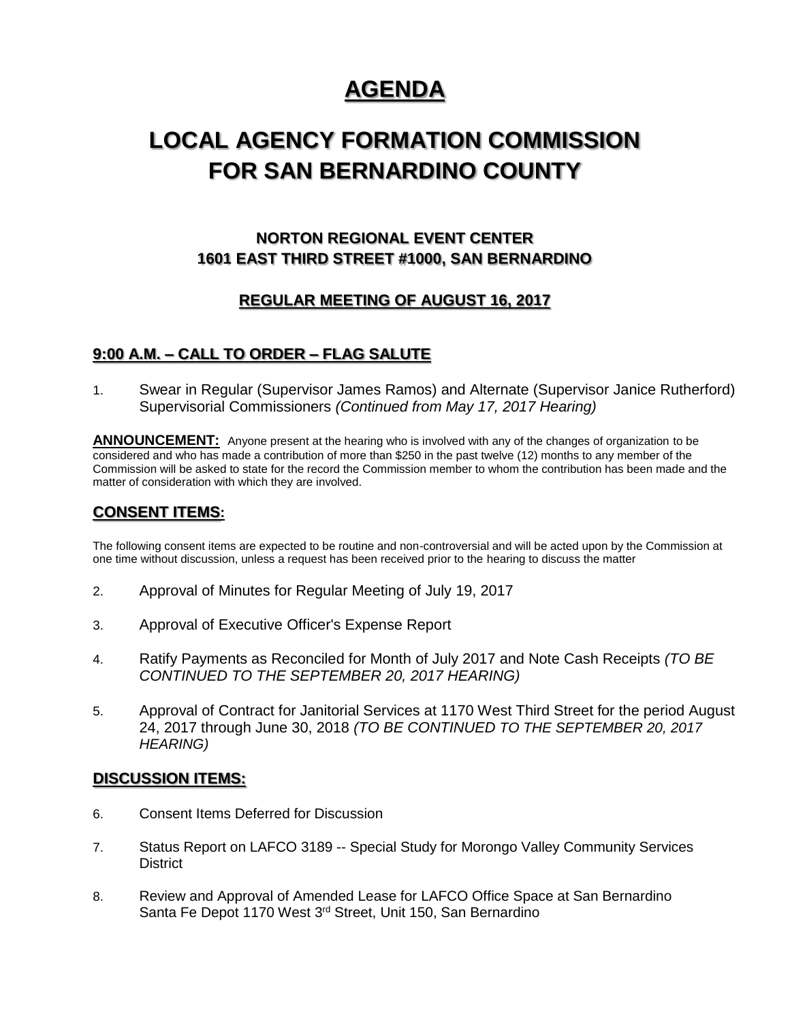# **AGENDA**

## **LOCAL AGENCY FORMATION COMMISSION FOR SAN BERNARDINO COUNTY**

## **NORTON REGIONAL EVENT CENTER 1601 EAST THIRD STREET #1000, SAN BERNARDINO**

### **REGULAR MEETING OF AUGUST 16, 2017**

### **9:00 A.M. – CALL TO ORDER – FLAG SALUTE**

1. Swear in Regular (Supervisor James Ramos) and Alternate (Supervisor Janice Rutherford) Supervisorial Commissioners *(Continued from May 17, 2017 Hearing)*

**ANNOUNCEMENT:** Anyone present at the hearing who is involved with any of the changes of organization to be considered and who has made a contribution of more than \$250 in the past twelve (12) months to any member of the Commission will be asked to state for the record the Commission member to whom the contribution has been made and the matter of consideration with which they are involved.

### **CONSENT ITEMS:**

The following consent items are expected to be routine and non-controversial and will be acted upon by the Commission at one time without discussion, unless a request has been received prior to the hearing to discuss the matter

- 2. Approval of Minutes for Regular Meeting of July 19, 2017
- 3. Approval of Executive Officer's Expense Report
- 4. Ratify Payments as Reconciled for Month of July 2017 and Note Cash Receipts *(TO BE CONTINUED TO THE SEPTEMBER 20, 2017 HEARING)*
- 5. Approval of Contract for Janitorial Services at 1170 West Third Street for the period August 24, 2017 through June 30, 2018 *(TO BE CONTINUED TO THE SEPTEMBER 20, 2017 HEARING)*

#### **DISCUSSION ITEMS:**

- 6. Consent Items Deferred for Discussion
- 7. Status Report on LAFCO 3189 -- Special Study for Morongo Valley Community Services **District**
- 8. Review and Approval of Amended Lease for LAFCO Office Space at San Bernardino Santa Fe Depot 1170 West 3<sup>rd</sup> Street, Unit 150, San Bernardino